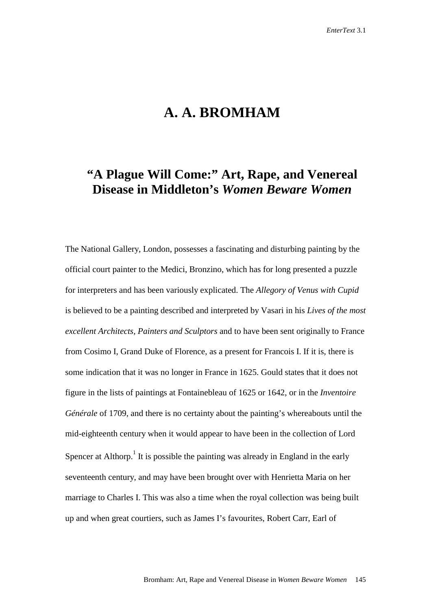## **A. A. BROMHAM**

## **"A Plague Will Come:" Art, Rape, and Venereal Disease in Middleton's** *Women Beware Women*

The National Gallery, London, possesses a fascinating and disturbing painting by the official court painter to the Medici, Bronzino, which has for long presented a puzzle for interpreters and has been variously explicated. The *Allegory of Venus with Cupid*  is believed to be a painting described and interpreted by Vasari in his *Lives of the most excellent Architects, Painters and Sculptors* and to have been sent originally to France from Cosimo I, Grand Duke of Florence, as a present for Francois I. If it is, there is some indication that it was no longer in France in 1625. Gould states that it does not figure in the lists of paintings at Fontainebleau of 1625 or 1642, or in the *Inventoire Générale* of 1709, and there is no certainty about the painting's whereabouts until the mid-eighteenth century when it would appear to have been in the collection of Lord Spencer at Althorp.<sup>1</sup> It is possible the painting was already in England in the early seventeenth century, and may have been brought over with Henrietta Maria on her marriage to Charles I. This was also a time when the royal collection was being built up and when great courtiers, such as James I's favourites, Robert Carr, Earl of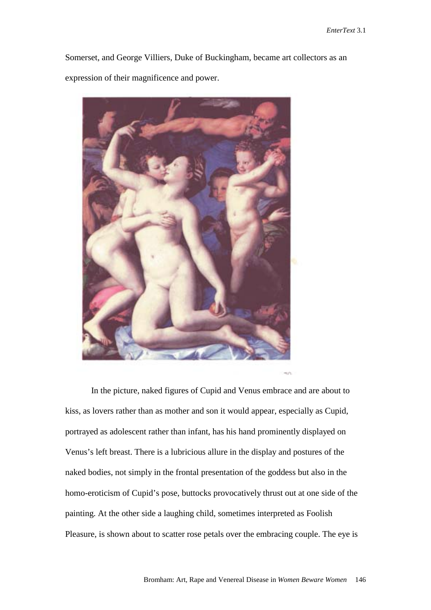Somerset, and George Villiers, Duke of Buckingham, became art collectors as an expression of their magnificence and power.



 In the picture, naked figures of Cupid and Venus embrace and are about to kiss, as lovers rather than as mother and son it would appear, especially as Cupid, portrayed as adolescent rather than infant, has his hand prominently displayed on Venus's left breast. There is a lubricious allure in the display and postures of the naked bodies, not simply in the frontal presentation of the goddess but also in the homo-eroticism of Cupid's pose, buttocks provocatively thrust out at one side of the painting. At the other side a laughing child, sometimes interpreted as Foolish Pleasure, is shown about to scatter rose petals over the embracing couple. The eye is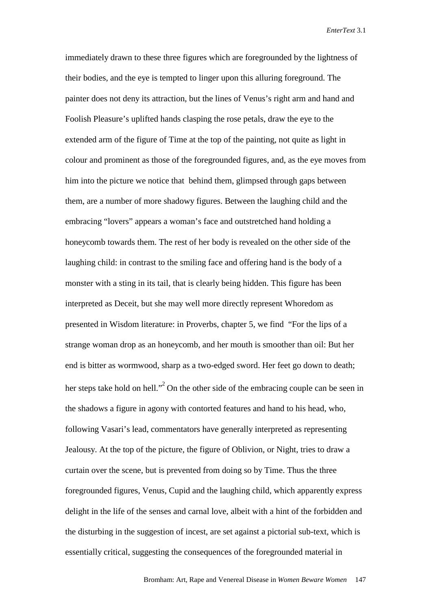immediately drawn to these three figures which are foregrounded by the lightness of their bodies, and the eye is tempted to linger upon this alluring foreground. The painter does not deny its attraction, but the lines of Venus's right arm and hand and Foolish Pleasure's uplifted hands clasping the rose petals, draw the eye to the extended arm of the figure of Time at the top of the painting, not quite as light in colour and prominent as those of the foregrounded figures, and, as the eye moves from him into the picture we notice that behind them, glimpsed through gaps between them, are a number of more shadowy figures. Between the laughing child and the embracing "lovers" appears a woman's face and outstretched hand holding a honeycomb towards them. The rest of her body is revealed on the other side of the laughing child: in contrast to the smiling face and offering hand is the body of a monster with a sting in its tail, that is clearly being hidden. This figure has been interpreted as Deceit, but she may well more directly represent Whoredom as presented in Wisdom literature: in Proverbs, chapter 5, we find "For the lips of a strange woman drop as an honeycomb, and her mouth is smoother than oil: But her end is bitter as wormwood, sharp as a two-edged sword. Her feet go down to death; her steps take hold on hell."<sup>2</sup> On the other side of the embracing couple can be seen in the shadows a figure in agony with contorted features and hand to his head, who, following Vasari's lead, commentators have generally interpreted as representing Jealousy. At the top of the picture, the figure of Oblivion, or Night, tries to draw a curtain over the scene, but is prevented from doing so by Time. Thus the three foregrounded figures, Venus, Cupid and the laughing child, which apparently express delight in the life of the senses and carnal love, albeit with a hint of the forbidden and the disturbing in the suggestion of incest, are set against a pictorial sub-text, which is essentially critical, suggesting the consequences of the foregrounded material in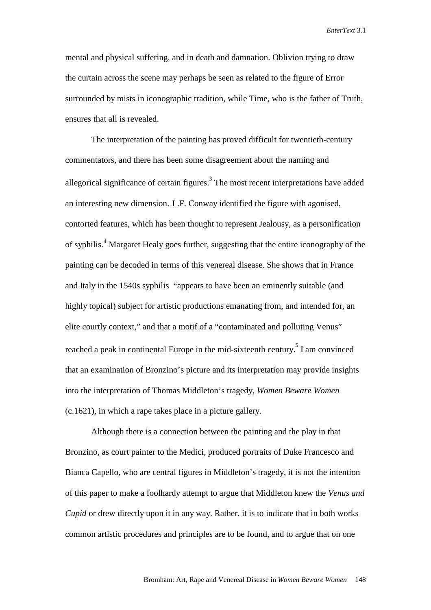mental and physical suffering, and in death and damnation. Oblivion trying to draw the curtain across the scene may perhaps be seen as related to the figure of Error surrounded by mists in iconographic tradition, while Time, who is the father of Truth, ensures that all is revealed.

 The interpretation of the painting has proved difficult for twentieth-century commentators, and there has been some disagreement about the naming and allegorical significance of certain figures.<sup>3</sup> The most recent interpretations have added an interesting new dimension. J .F. Conway identified the figure with agonised, contorted features, which has been thought to represent Jealousy, as a personification of syphilis.<sup>4</sup> Margaret Healy goes further, suggesting that the entire iconography of the painting can be decoded in terms of this venereal disease. She shows that in France and Italy in the 1540s syphilis "appears to have been an eminently suitable (and highly topical) subject for artistic productions emanating from, and intended for, an elite courtly context," and that a motif of a "contaminated and polluting Venus" reached a peak in continental Europe in the mid-sixteenth century.<sup>5</sup> I am convinced that an examination of Bronzino's picture and its interpretation may provide insights into the interpretation of Thomas Middleton's tragedy, *Women Beware Women*  (c.1621), in which a rape takes place in a picture gallery.

 Although there is a connection between the painting and the play in that Bronzino, as court painter to the Medici, produced portraits of Duke Francesco and Bianca Capello, who are central figures in Middleton's tragedy, it is not the intention of this paper to make a foolhardy attempt to argue that Middleton knew the *Venus and Cupid* or drew directly upon it in any way. Rather, it is to indicate that in both works common artistic procedures and principles are to be found, and to argue that on one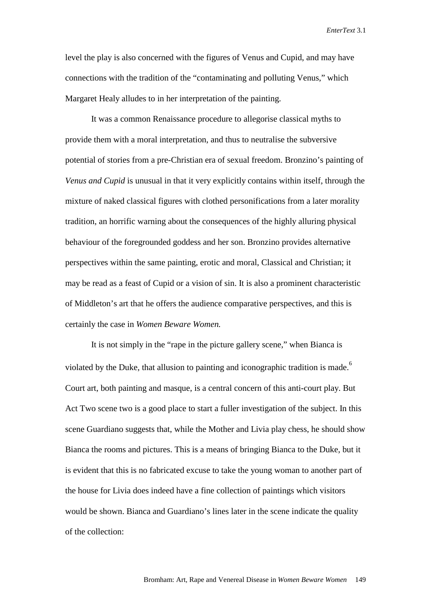level the play is also concerned with the figures of Venus and Cupid, and may have connections with the tradition of the "contaminating and polluting Venus," which Margaret Healy alludes to in her interpretation of the painting.

 It was a common Renaissance procedure to allegorise classical myths to provide them with a moral interpretation, and thus to neutralise the subversive potential of stories from a pre-Christian era of sexual freedom. Bronzino's painting of *Venus and Cupid* is unusual in that it very explicitly contains within itself, through the mixture of naked classical figures with clothed personifications from a later morality tradition, an horrific warning about the consequences of the highly alluring physical behaviour of the foregrounded goddess and her son. Bronzino provides alternative perspectives within the same painting, erotic and moral, Classical and Christian; it may be read as a feast of Cupid or a vision of sin. It is also a prominent characteristic of Middleton's art that he offers the audience comparative perspectives, and this is certainly the case in *Women Beware Women.* 

It is not simply in the "rape in the picture gallery scene," when Bianca is violated by the Duke, that allusion to painting and iconographic tradition is made.<sup>6</sup> Court art, both painting and masque, is a central concern of this anti-court play. But Act Two scene two is a good place to start a fuller investigation of the subject. In this scene Guardiano suggests that, while the Mother and Livia play chess, he should show Bianca the rooms and pictures. This is a means of bringing Bianca to the Duke, but it is evident that this is no fabricated excuse to take the young woman to another part of the house for Livia does indeed have a fine collection of paintings which visitors would be shown. Bianca and Guardiano's lines later in the scene indicate the quality of the collection: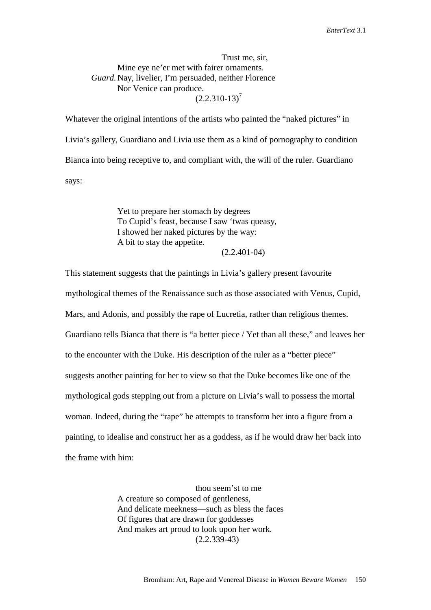Trust me, sir, Mine eye ne'er met with fairer ornaments. *Guard.* Nay, livelier, I'm persuaded, neither Florence Nor Venice can produce.  $(2.2.310-13)^7$ 

Whatever the original intentions of the artists who painted the "naked pictures" in Livia's gallery, Guardiano and Livia use them as a kind of pornography to condition Bianca into being receptive to, and compliant with, the will of the ruler. Guardiano says:

> Yet to prepare her stomach by degrees To Cupid's feast, because I saw 'twas queasy, I showed her naked pictures by the way: A bit to stay the appetite. (2.2.401-04)

This statement suggests that the paintings in Livia's gallery present favourite mythological themes of the Renaissance such as those associated with Venus, Cupid, Mars, and Adonis, and possibly the rape of Lucretia, rather than religious themes. Guardiano tells Bianca that there is "a better piece / Yet than all these," and leaves her to the encounter with the Duke. His description of the ruler as a "better piece" suggests another painting for her to view so that the Duke becomes like one of the mythological gods stepping out from a picture on Livia's wall to possess the mortal woman. Indeed, during the "rape" he attempts to transform her into a figure from a painting, to idealise and construct her as a goddess, as if he would draw her back into the frame with him:

> thou seem'st to me A creature so composed of gentleness, And delicate meekness—such as bless the faces Of figures that are drawn for goddesses And makes art proud to look upon her work. (2.2.339-43)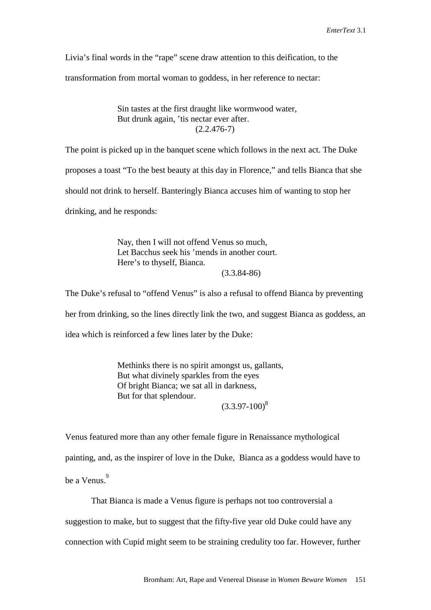Livia's final words in the "rape" scene draw attention to this deification, to the transformation from mortal woman to goddess, in her reference to nectar:

> Sin tastes at the first draught like wormwood water, But drunk again, 'tis nectar ever after.  $(2.2.476-7)$

The point is picked up in the banquet scene which follows in the next act. The Duke proposes a toast "To the best beauty at this day in Florence," and tells Bianca that she should not drink to herself. Banteringly Bianca accuses him of wanting to stop her drinking, and he responds:

> Nay, then I will not offend Venus so much, Let Bacchus seek his 'mends in another court. Here's to thyself, Bianca. (3.3.84-86)

The Duke's refusal to "offend Venus" is also a refusal to offend Bianca by preventing

her from drinking, so the lines directly link the two, and suggest Bianca as goddess, an

idea which is reinforced a few lines later by the Duke:

 Methinks there is no spirit amongst us, gallants, But what divinely sparkles from the eyes Of bright Bianca; we sat all in darkness, But for that splendour.

 $(3.3.97-100)^8$ 

Venus featured more than any other female figure in Renaissance mythological

painting, and, as the inspirer of love in the Duke, Bianca as a goddess would have to

be a Venus.<sup>9</sup>

That Bianca is made a Venus figure is perhaps not too controversial a

suggestion to make, but to suggest that the fifty-five year old Duke could have any

connection with Cupid might seem to be straining credulity too far. However, further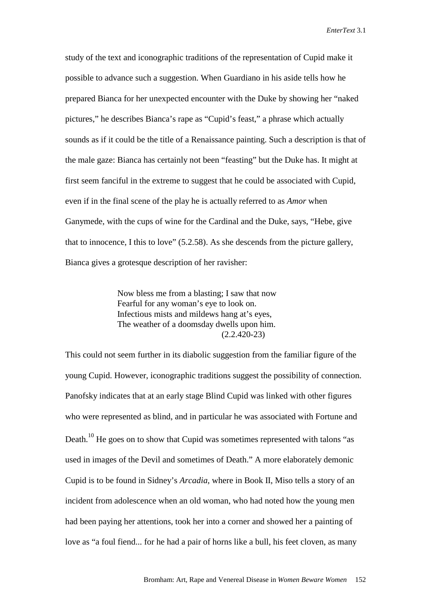study of the text and iconographic traditions of the representation of Cupid make it possible to advance such a suggestion. When Guardiano in his aside tells how he prepared Bianca for her unexpected encounter with the Duke by showing her "naked pictures," he describes Bianca's rape as "Cupid's feast," a phrase which actually sounds as if it could be the title of a Renaissance painting. Such a description is that of the male gaze: Bianca has certainly not been "feasting" but the Duke has. It might at first seem fanciful in the extreme to suggest that he could be associated with Cupid, even if in the final scene of the play he is actually referred to as *Amor* when Ganymede, with the cups of wine for the Cardinal and the Duke, says, "Hebe, give that to innocence, I this to love" (5.2.58). As she descends from the picture gallery, Bianca gives a grotesque description of her ravisher:

> Now bless me from a blasting; I saw that now Fearful for any woman's eye to look on. Infectious mists and mildews hang at's eyes, The weather of a doomsday dwells upon him. (2.2.420-23)

This could not seem further in its diabolic suggestion from the familiar figure of the young Cupid. However, iconographic traditions suggest the possibility of connection. Panofsky indicates that at an early stage Blind Cupid was linked with other figures who were represented as blind, and in particular he was associated with Fortune and Death.<sup>10</sup> He goes on to show that Cupid was sometimes represented with talons "as used in images of the Devil and sometimes of Death." A more elaborately demonic Cupid is to be found in Sidney's *Arcadia*, where in Book II, Miso tells a story of an incident from adolescence when an old woman, who had noted how the young men had been paying her attentions, took her into a corner and showed her a painting of love as "a foul fiend... for he had a pair of horns like a bull, his feet cloven, as many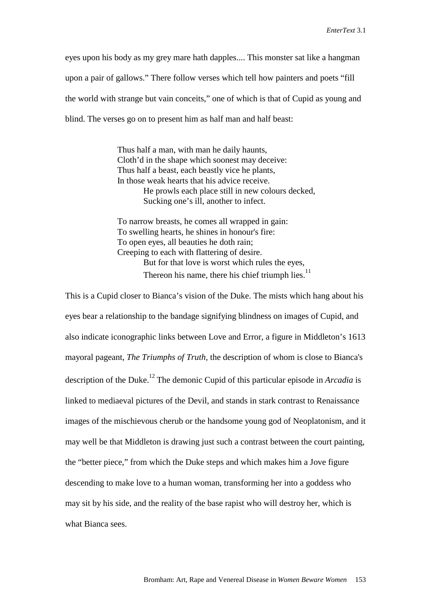eyes upon his body as my grey mare hath dapples.... This monster sat like a hangman upon a pair of gallows." There follow verses which tell how painters and poets "fill the world with strange but vain conceits," one of which is that of Cupid as young and blind. The verses go on to present him as half man and half beast:

> Thus half a man, with man he daily haunts, Cloth'd in the shape which soonest may deceive: Thus half a beast, each beastly vice he plants, In those weak hearts that his advice receive. He prowls each place still in new colours decked, Sucking one's ill, another to infect.

 To narrow breasts, he comes all wrapped in gain: To swelling hearts, he shines in honour's fire: To open eyes, all beauties he doth rain; Creeping to each with flattering of desire. But for that love is worst which rules the eyes, Thereon his name, there his chief triumph lies.<sup>11</sup>

This is a Cupid closer to Bianca's vision of the Duke. The mists which hang about his eyes bear a relationship to the bandage signifying blindness on images of Cupid, and also indicate iconographic links between Love and Error, a figure in Middleton's 1613 mayoral pageant, *The Triumphs of Truth,* the description of whom is close to Bianca's description of the Duke.<sup>12</sup> The demonic Cupid of this particular episode in *Arcadia* is linked to mediaeval pictures of the Devil, and stands in stark contrast to Renaissance images of the mischievous cherub or the handsome young god of Neoplatonism, and it may well be that Middleton is drawing just such a contrast between the court painting, the "better piece," from which the Duke steps and which makes him a Jove figure descending to make love to a human woman, transforming her into a goddess who may sit by his side, and the reality of the base rapist who will destroy her, which is what Bianca sees.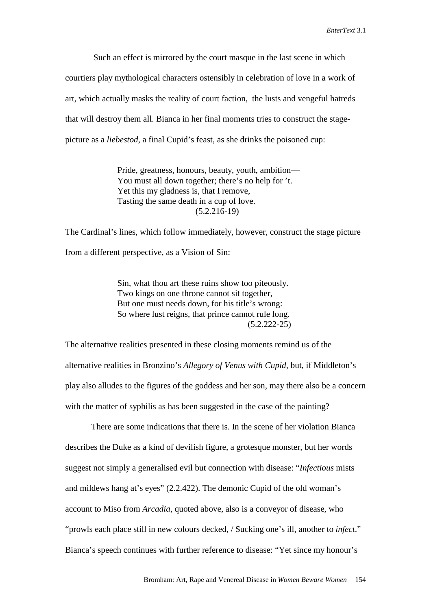Such an effect is mirrored by the court masque in the last scene in which courtiers play mythological characters ostensibly in celebration of love in a work of art, which actually masks the reality of court faction, the lusts and vengeful hatreds that will destroy them all. Bianca in her final moments tries to construct the stagepicture as a *liebestod*, a final Cupid's feast, as she drinks the poisoned cup:

> Pride, greatness, honours, beauty, youth, ambition— You must all down together; there's no help for 't. Yet this my gladness is, that I remove, Tasting the same death in a cup of love. (5.2.216-19)

The Cardinal's lines, which follow immediately, however, construct the stage picture from a different perspective, as a Vision of Sin:

> Sin, what thou art these ruins show too piteously. Two kings on one throne cannot sit together, But one must needs down, for his title's wrong: So where lust reigns, that prince cannot rule long. (5.2.222-25)

The alternative realities presented in these closing moments remind us of the alternative realities in Bronzino's *Allegory of Venus with Cupid*, but, if Middleton's play also alludes to the figures of the goddess and her son, may there also be a concern with the matter of syphilis as has been suggested in the case of the painting?

 There are some indications that there is. In the scene of her violation Bianca describes the Duke as a kind of devilish figure, a grotesque monster, but her words suggest not simply a generalised evil but connection with disease: "*Infectious* mists and mildews hang at's eyes" (2.2.422). The demonic Cupid of the old woman's account to Miso from *Arcadia*, quoted above, also is a conveyor of disease, who "prowls each place still in new colours decked, / Sucking one's ill, another to *infect*." Bianca's speech continues with further reference to disease: "Yet since my honour's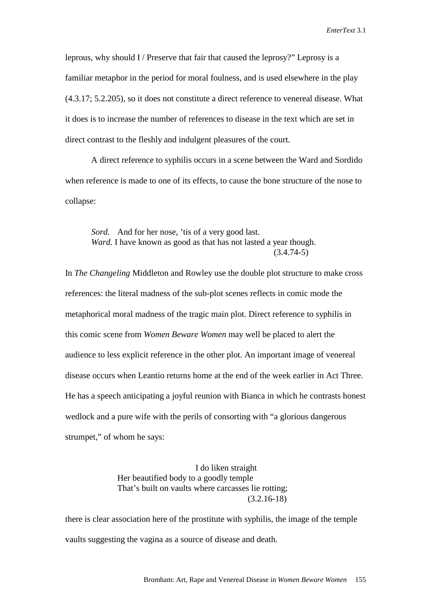leprous, why should I / Preserve that fair that caused the leprosy?" Leprosy is a familiar metaphor in the period for moral foulness, and is used elsewhere in the play (4.3.17; 5.2.205), so it does not constitute a direct reference to venereal disease. What it does is to increase the number of references to disease in the text which are set in direct contrast to the fleshly and indulgent pleasures of the court.

 A direct reference to syphilis occurs in a scene between the Ward and Sordido when reference is made to one of its effects, to cause the bone structure of the nose to collapse:

Sord. And for her nose, 'tis of a very good last. *Ward*. I have known as good as that has not lasted a year though.  $(3.4.74-5)$ 

In *The Changeling* Middleton and Rowley use the double plot structure to make cross references: the literal madness of the sub-plot scenes reflects in comic mode the metaphorical moral madness of the tragic main plot. Direct reference to syphilis in this comic scene from *Women Beware Women* may well be placed to alert the audience to less explicit reference in the other plot. An important image of venereal disease occurs when Leantio returns home at the end of the week earlier in Act Three. He has a speech anticipating a joyful reunion with Bianca in which he contrasts honest wedlock and a pure wife with the perils of consorting with "a glorious dangerous strumpet," of whom he says:

> I do liken straight Her beautified body to a goodly temple That's built on vaults where carcasses lie rotting; (3.2.16-18)

there is clear association here of the prostitute with syphilis, the image of the temple vaults suggesting the vagina as a source of disease and death.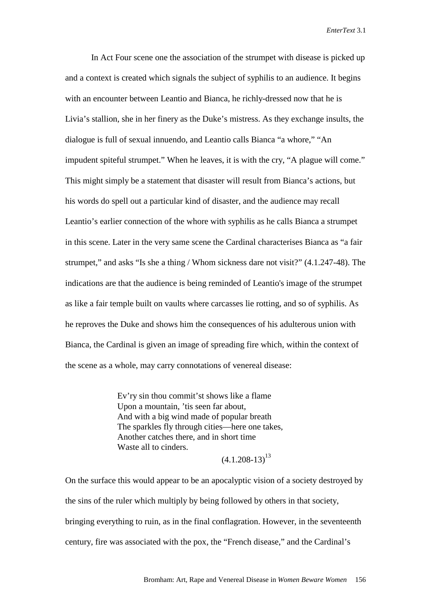In Act Four scene one the association of the strumpet with disease is picked up and a context is created which signals the subject of syphilis to an audience. It begins with an encounter between Leantio and Bianca, he richly-dressed now that he is Livia's stallion, she in her finery as the Duke's mistress. As they exchange insults, the dialogue is full of sexual innuendo, and Leantio calls Bianca "a whore," "An impudent spiteful strumpet." When he leaves, it is with the cry, "A plague will come." This might simply be a statement that disaster will result from Bianca's actions, but his words do spell out a particular kind of disaster, and the audience may recall Leantio's earlier connection of the whore with syphilis as he calls Bianca a strumpet in this scene. Later in the very same scene the Cardinal characterises Bianca as "a fair strumpet," and asks "Is she a thing / Whom sickness dare not visit?" (4.1.247-48). The indications are that the audience is being reminded of Leantio's image of the strumpet as like a fair temple built on vaults where carcasses lie rotting, and so of syphilis. As he reproves the Duke and shows him the consequences of his adulterous union with Bianca, the Cardinal is given an image of spreading fire which, within the context of the scene as a whole, may carry connotations of venereal disease:

> Ev'ry sin thou commit'st shows like a flame Upon a mountain, 'tis seen far about, And with a big wind made of popular breath The sparkles fly through cities—here one takes, Another catches there, and in short time Waste all to cinders.

 $(4.1.208-13)^{13}$ 

On the surface this would appear to be an apocalyptic vision of a society destroyed by the sins of the ruler which multiply by being followed by others in that society, bringing everything to ruin, as in the final conflagration. However, in the seventeenth century, fire was associated with the pox, the "French disease," and the Cardinal's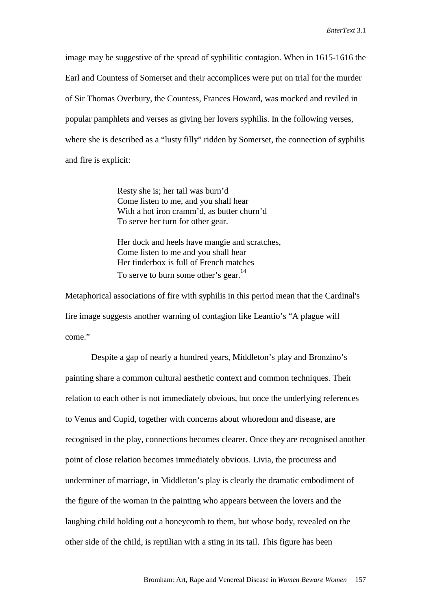image may be suggestive of the spread of syphilitic contagion. When in 1615-1616 the Earl and Countess of Somerset and their accomplices were put on trial for the murder of Sir Thomas Overbury, the Countess, Frances Howard, was mocked and reviled in popular pamphlets and verses as giving her lovers syphilis. In the following verses, where she is described as a "lusty filly" ridden by Somerset, the connection of syphilis and fire is explicit:

> Resty she is; her tail was burn'd Come listen to me, and you shall hear With a hot iron cramm'd, as butter churn'd To serve her turn for other gear.

 Her dock and heels have mangie and scratches, Come listen to me and you shall hear Her tinderbox is full of French matches To serve to burn some other's gear.<sup>14</sup>

Metaphorical associations of fire with syphilis in this period mean that the Cardinal's fire image suggests another warning of contagion like Leantio's "A plague will come."

 Despite a gap of nearly a hundred years, Middleton's play and Bronzino's painting share a common cultural aesthetic context and common techniques. Their relation to each other is not immediately obvious, but once the underlying references to Venus and Cupid, together with concerns about whoredom and disease, are recognised in the play, connections becomes clearer. Once they are recognised another point of close relation becomes immediately obvious. Livia, the procuress and underminer of marriage, in Middleton's play is clearly the dramatic embodiment of the figure of the woman in the painting who appears between the lovers and the laughing child holding out a honeycomb to them, but whose body, revealed on the other side of the child, is reptilian with a sting in its tail. This figure has been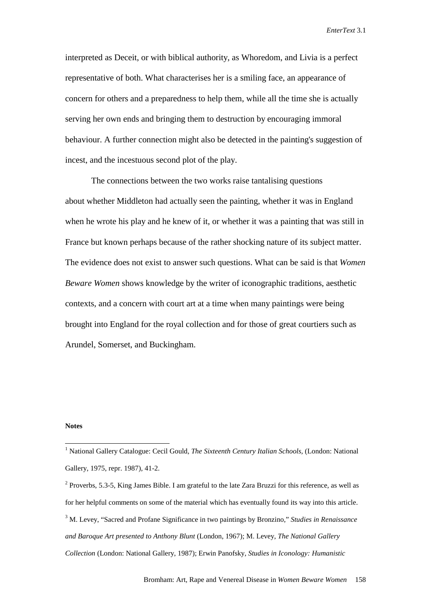interpreted as Deceit, or with biblical authority, as Whoredom, and Livia is a perfect representative of both. What characterises her is a smiling face, an appearance of concern for others and a preparedness to help them, while all the time she is actually serving her own ends and bringing them to destruction by encouraging immoral behaviour. A further connection might also be detected in the painting's suggestion of incest, and the incestuous second plot of the play.

 The connections between the two works raise tantalising questions about whether Middleton had actually seen the painting, whether it was in England when he wrote his play and he knew of it, or whether it was a painting that was still in France but known perhaps because of the rather shocking nature of its subject matter. The evidence does not exist to answer such questions. What can be said is that *Women Beware Women* shows knowledge by the writer of iconographic traditions, aesthetic contexts, and a concern with court art at a time when many paintings were being brought into England for the royal collection and for those of great courtiers such as Arundel, Somerset, and Buckingham.

## **Notes**

 $\overline{a}$ 

<sup>&</sup>lt;sup>1</sup> National Gallery Catalogue: Cecil Gould, *The Sixteenth Century Italian Schools*, (London: National Gallery, 1975, repr. 1987), 41-2.

 $2^{2}$  Proverbs, 5.3-5, King James Bible. I am grateful to the late Zara Bruzzi for this reference, as well as for her helpful comments on some of the material which has eventually found its way into this article. 3 M. Levey, "Sacred and Profane Significance in two paintings by Bronzino," *Studies in Renaissance and Baroque Art presented to Anthony Blunt* (London, 1967); M. Levey, *The National Gallery Collection* (London: National Gallery, 1987); Erwin Panofsky, *Studies in Iconology: Humanistic*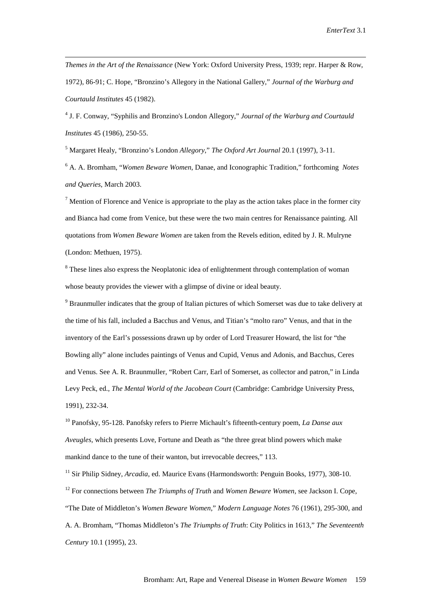*Themes in the Art of the Renaissance* (New York: Oxford University Press, 1939; repr. Harper & Row, 1972), 86-91; C. Hope, "Bronzino's Allegory in the National Gallery," *Journal of the Warburg and Courtauld Institutes* 45 (1982).

4 J. F. Conway, "Syphilis and Bronzino's London Allegory," *Journal of the Warburg and Courtauld Institutes* 45 (1986), 250-55.

5 Margaret Healy, "Bronzino's London *Allegory*," *The Oxford Art Journal* 20.1 (1997), 3-11.

 $\overline{a}$ 

6 A. A. Bromham, "*Women Beware Women*, Danae, and Iconographic Tradition," forthcoming *Notes and Queries*, March 2003.

<sup>7</sup> Mention of Florence and Venice is appropriate to the play as the action takes place in the former city and Bianca had come from Venice, but these were the two main centres for Renaissance painting. All quotations from *Women Beware Women* are taken from the Revels edition, edited by J. R. Mulryne (London: Methuen, 1975).

<sup>8</sup> These lines also express the Neoplatonic idea of enlightenment through contemplation of woman whose beauty provides the viewer with a glimpse of divine or ideal beauty.

<sup>9</sup> Braunmuller indicates that the group of Italian pictures of which Somerset was due to take delivery at the time of his fall, included a Bacchus and Venus, and Titian's "molto raro" Venus, and that in the inventory of the Earl's possessions drawn up by order of Lord Treasurer Howard, the list for "the Bowling ally" alone includes paintings of Venus and Cupid, Venus and Adonis, and Bacchus, Ceres and Venus. See A. R. Braunmuller, "Robert Carr, Earl of Somerset, as collector and patron," in Linda Levy Peck, ed., *The Mental World of the Jacobean Court* (Cambridge: Cambridge University Press, 1991), 232-34.

10 Panofsky, 95-128. Panofsky refers to Pierre Michault's fifteenth-century poem, *La Danse aux Aveugles,* which presents Love, Fortune and Death as "the three great blind powers which make mankind dance to the tune of their wanton, but irrevocable decrees," 113.

11 Sir Philip Sidney, *Arcadia*, ed. Maurice Evans (Harmondsworth: Penguin Books, 1977), 308-10. 12 For connections between *The Triumphs of Truth* and *Women Beware Women,* see Jackson I. Cope, "The Date of Middleton's *Women Beware Women*," *Modern Language Notes* 76 (1961), 295-300, and A. A. Bromham, "Thomas Middleton's *The Triumphs of Truth*: City Politics in 1613," *The Seventeenth Century* 10.1 (1995), 23.